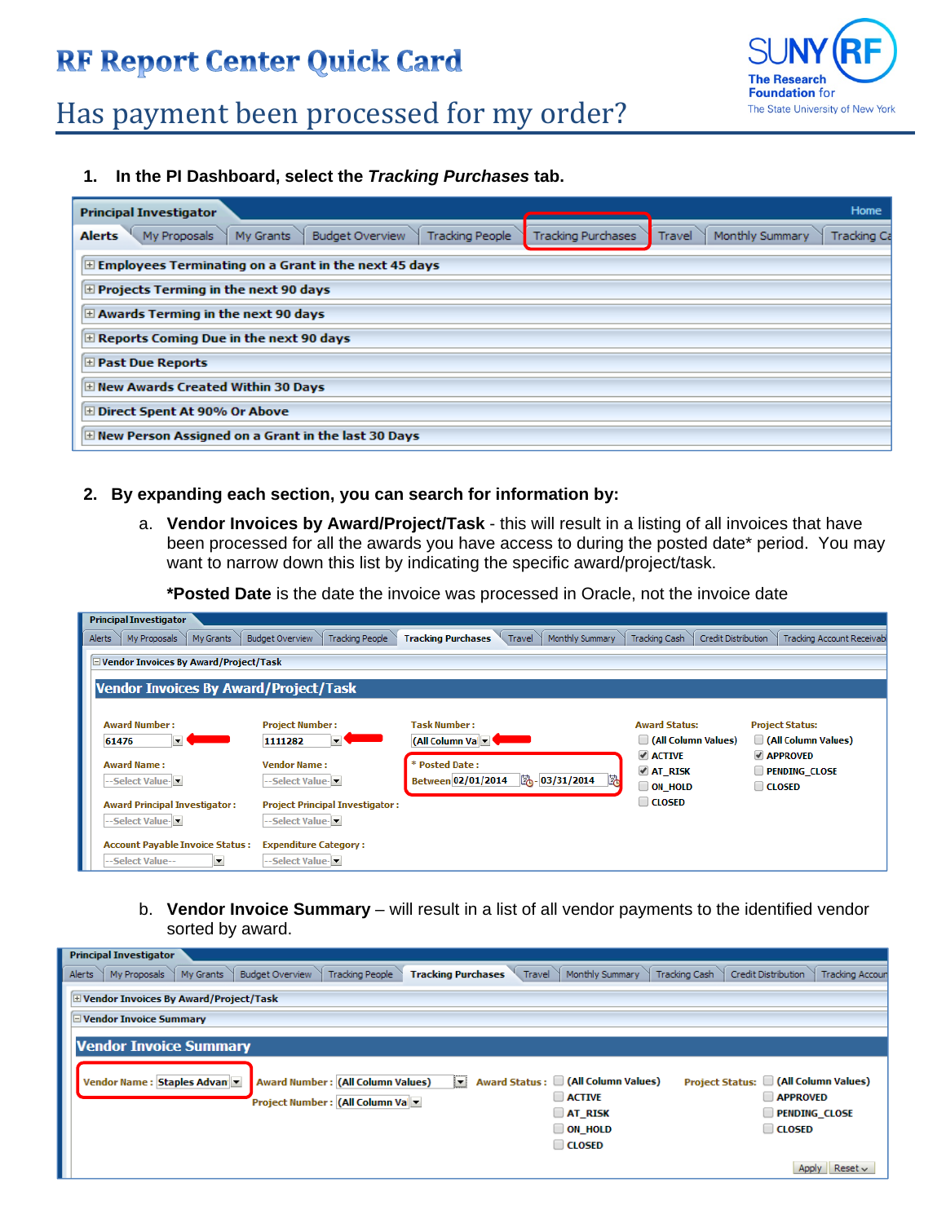### **RF Report Center Quick Card**



# Has payment been processed for my order?

**1. In the PI Dashboard, select the** *Tracking Purchases* **tab.** 

| Home<br><b>Principal Investigator</b>                                                                                                                                   |
|-------------------------------------------------------------------------------------------------------------------------------------------------------------------------|
| My Proposals<br>My Grants<br><b>Budget Overview</b><br><b>Alerts</b><br>Monthly Summary<br>Tracking People<br><b>Tracking Purchases</b><br><b>Tracking Ca</b><br>Travel |
| $\pm$ Employees Terminating on a Grant in the next 45 days                                                                                                              |
| $\pm$ Projects Terming in the next 90 days                                                                                                                              |
| E Awards Terming in the next 90 days                                                                                                                                    |
| $\pm$ Reports Coming Due in the next 90 days                                                                                                                            |
| <b>El Past Due Reports</b>                                                                                                                                              |
| E New Awards Created Within 30 Days                                                                                                                                     |
| ⊞ Direct Spent At 90% Or Above                                                                                                                                          |
| E New Person Assigned on a Grant in the last 30 Days                                                                                                                    |

#### **2. By expanding each section, you can search for information by:**

a. **Vendor Invoices by Award/Project/Task** - this will result in a listing of all invoices that have been processed for all the awards you have access to during the posted date\* period. You may want to narrow down this list by indicating the specific award/project/task.

**\*Posted Date** is the date the invoice was processed in Oracle, not the invoice date

| <b>Principal Investigator</b>                                                           |                                                              |                                                                                |                                                |                                                            |  |  |  |  |  |  |  |
|-----------------------------------------------------------------------------------------|--------------------------------------------------------------|--------------------------------------------------------------------------------|------------------------------------------------|------------------------------------------------------------|--|--|--|--|--|--|--|
| My Proposals<br>Alerts<br>My Grants                                                     | <b>Budget Overview</b><br><b>Tracking People</b>             | Monthly Summary<br>Travel<br><b>Tracking Purchases</b>                         | Tracking Cash<br>Credit Distribution           | <b>Tracking Account Receivab</b>                           |  |  |  |  |  |  |  |
| □ Vendor Invoices By Award/Project/Task<br><b>Vendor Invoices By Award/Project/Task</b> |                                                              |                                                                                |                                                |                                                            |  |  |  |  |  |  |  |
| <b>Award Number:</b><br>61476<br>▾                                                      | <b>Project Number:</b><br>1111282<br>▼                       | <b>Task Number:</b><br>(All Column Vall v                                      | <b>Award Status:</b><br>(All Column Values)    | <b>Project Status:</b><br>(All Column Values)              |  |  |  |  |  |  |  |
| <b>Award Name:</b><br>--Select Value- <del>▼</del>                                      | <b>Vendor Name:</b><br>--Select Value-                       | * Posted Date:<br>卧<br>$\frac{1}{20}$ -03/31/2014<br><b>Between 02/01/2014</b> | √ ACTIVE<br><b>⊿ AT RISK</b><br>$\Box$ on hold | <b>√ APPROVED</b><br><b>PENDING CLOSE</b><br>$\Box$ CLOSED |  |  |  |  |  |  |  |
| <b>Award Principal Investigator:</b><br>--Select Value-                                 | <b>Project Principal Investigator:</b><br>--Select Value-l≅l |                                                                                | $\Box$ CLOSED                                  |                                                            |  |  |  |  |  |  |  |
| <b>Account Payable Invoice Status:</b><br>--Select Value--<br>▼                         | <b>Expenditure Category:</b><br>--Select Value-              |                                                                                |                                                |                                                            |  |  |  |  |  |  |  |

b. **Vendor Invoice Summary** – will result in a list of all vendor payments to the identified vendor sorted by award.

| <b>Principal Investigator</b>                                                                                        |                                                                                                                                                                                                               |
|----------------------------------------------------------------------------------------------------------------------|---------------------------------------------------------------------------------------------------------------------------------------------------------------------------------------------------------------|
| <b>Budget Overview</b><br>My Grants<br><b>Tracking People</b><br>Alerts<br><b>Tracking Purchases</b><br>My Proposals | Monthly Summary<br><b>Tracking Cash</b><br>Credit Distribution<br>Travel<br><b>Tracking Accoun</b>                                                                                                            |
| E Vendor Invoices By Award/Project/Task                                                                              |                                                                                                                                                                                                               |
| □ Vendor Invoice Summary                                                                                             |                                                                                                                                                                                                               |
| <b>Vendor Invoice Summary</b>                                                                                        |                                                                                                                                                                                                               |
| <b>Award Number: (All Column Values)</b><br>Vendor Name: Staples Advan<br>ŀ<br>Project Number : (All Column Val      | Award Status: (All Column Values)<br>(All Column Values)<br><b>Project Status:</b><br><b>APPROVED</b><br><b>ACTIVE</b><br><b>PENDING CLOSE</b><br><b>AT RISK</b><br>ON HOLD<br>$\Box$ CLOSED<br><b>CLOSED</b> |
|                                                                                                                      | Reset $\sim$<br>Apply                                                                                                                                                                                         |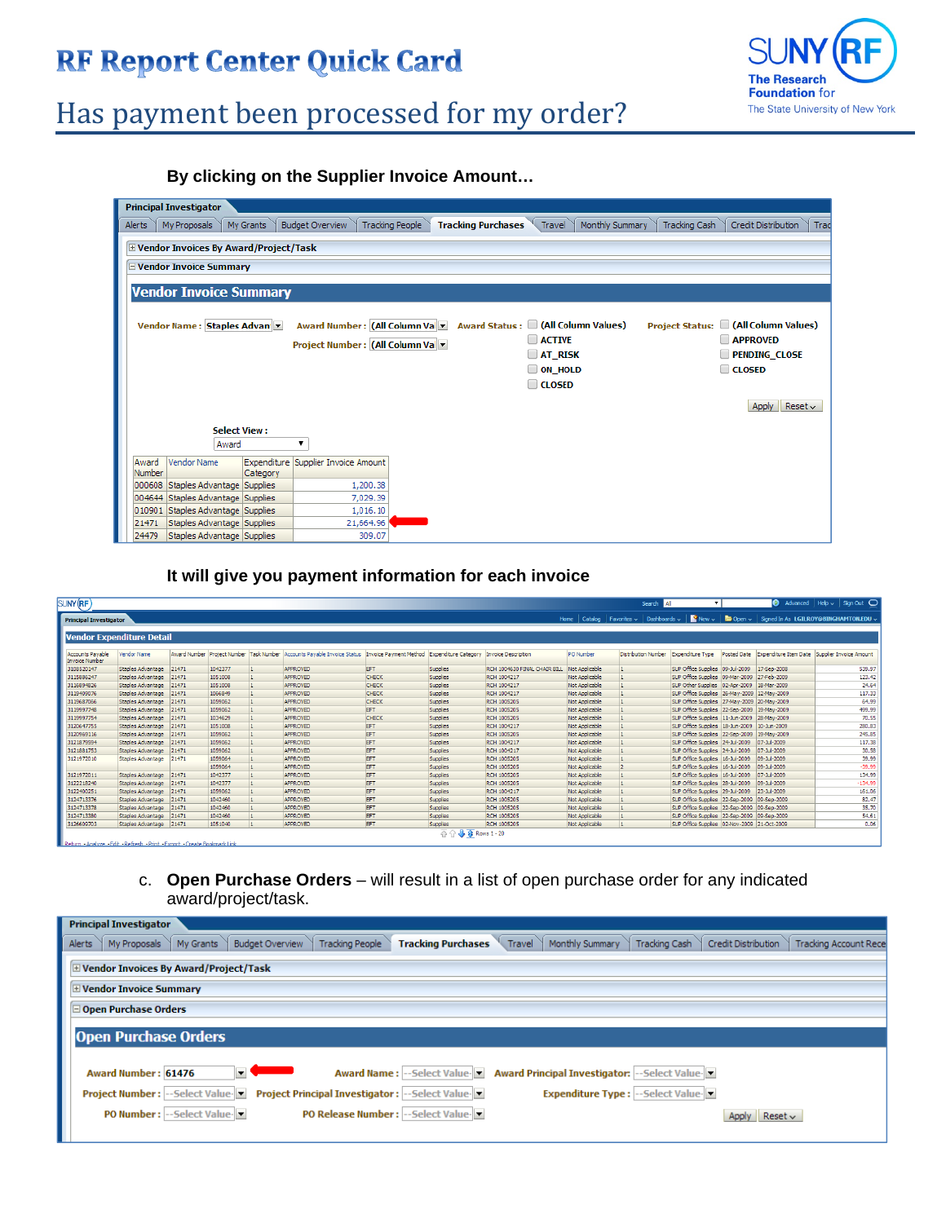### **RF Report Center Quick Card**



# Has payment been processed for my order?

**By clicking on the Supplier Invoice Amount…** 

| <b>Principal Investigator</b>              |                                                  |                                                                                                                                               |                                                                                                                                           |  |  |  |  |  |  |  |  |
|--------------------------------------------|--------------------------------------------------|-----------------------------------------------------------------------------------------------------------------------------------------------|-------------------------------------------------------------------------------------------------------------------------------------------|--|--|--|--|--|--|--|--|
| My Proposals<br>My Grants<br>Alerts        | <b>Budget Overview</b><br><b>Tracking People</b> | Monthly Summary<br><b>Tracking Purchases</b><br>Travel                                                                                        | Credit Distribution<br>Tracking Cash<br>Trad                                                                                              |  |  |  |  |  |  |  |  |
| E Vendor Invoices By Award/Project/Task    |                                                  |                                                                                                                                               |                                                                                                                                           |  |  |  |  |  |  |  |  |
| <b>E</b> Vendor Invoice Summary            |                                                  |                                                                                                                                               |                                                                                                                                           |  |  |  |  |  |  |  |  |
|                                            |                                                  |                                                                                                                                               |                                                                                                                                           |  |  |  |  |  |  |  |  |
| <b>Vendor Invoice Summary</b>              |                                                  |                                                                                                                                               |                                                                                                                                           |  |  |  |  |  |  |  |  |
| Vendor Name: Staples Advan                 | Project Number : (All Column Val                 | Award Number: (All Column Va ▼ Award Status: □ (All Column Values)<br><b>ACTIVE</b><br>$\Box$ AT_RISK<br><b>ON HOLD</b><br>m<br><b>CLOSED</b> | (All Column Values)<br><b>Project Status:</b><br><b>APPROVED</b><br><b>PENDING CLOSE</b><br><b>CLOSED</b><br>Reset $\sim$<br><b>Apply</b> |  |  |  |  |  |  |  |  |
| <b>Select View:</b>                        |                                                  |                                                                                                                                               |                                                                                                                                           |  |  |  |  |  |  |  |  |
| Award                                      |                                                  |                                                                                                                                               |                                                                                                                                           |  |  |  |  |  |  |  |  |
| Vendor Name<br>Award<br>Number<br>Category | Expenditure Supplier Invoice Amount              |                                                                                                                                               |                                                                                                                                           |  |  |  |  |  |  |  |  |
| 000608<br>Staples Advantage Supplies       | 1,200.38                                         |                                                                                                                                               |                                                                                                                                           |  |  |  |  |  |  |  |  |
| 004644 Staples Advantage Supplies          | 7,029.39                                         |                                                                                                                                               |                                                                                                                                           |  |  |  |  |  |  |  |  |
| Staples Advantage Supplies<br>010901       | 1,016.10                                         |                                                                                                                                               |                                                                                                                                           |  |  |  |  |  |  |  |  |
| Staples Advantage Supplies<br>21471        | 21,664.96                                        |                                                                                                                                               |                                                                                                                                           |  |  |  |  |  |  |  |  |
| Staples Advantage Supplies<br>24479        | 309.07                                           |                                                                                                                                               |                                                                                                                                           |  |  |  |  |  |  |  |  |

**It will give you payment information for each invoice** 

| SUNY (RF                                                                |                                  |       |         |                                                                                                                                         |            |                             |                              |                | Search All                                     |                                                 |                                       |                       | $\bullet$ Advanced   Help $\sim$   Sign Out $\bullet$ |
|-------------------------------------------------------------------------|----------------------------------|-------|---------|-----------------------------------------------------------------------------------------------------------------------------------------|------------|-----------------------------|------------------------------|----------------|------------------------------------------------|-------------------------------------------------|---------------------------------------|-----------------------|-------------------------------------------------------|
| <b>Principal Investigator</b>                                           |                                  |       |         |                                                                                                                                         |            |                             |                              | Home           | Catalog   Favorites $\sim$   Dashboards $\sim$ |                                                 | New $\sim$ $\blacksquare$ Open $\sim$ |                       | Signed In As LGILROY@BINGHAMTON.EDU                   |
|                                                                         | <b>Vendor Expenditure Detail</b> |       |         |                                                                                                                                         |            |                             |                              |                |                                                |                                                 |                                       |                       |                                                       |
|                                                                         |                                  |       |         |                                                                                                                                         |            |                             |                              |                |                                                |                                                 |                                       |                       |                                                       |
| <b>Accounts Pavable</b><br><b>Invoice Number</b>                        | Vendor Name                      |       |         | Award Number Project Number Task Number Accounts Payable Invoice Status Invoice Payment Method Expenditure Category Invoice Description |            |                             |                              | PO Number      | Distribution Number                            | Expenditure Type                                | <b>Posted Date</b>                    | Expenditure Item Date | Supplier Invoice Amount                               |
| 3108520147                                                              | Staples Advantage 21471          |       | 1042377 | <b>APPROVED</b>                                                                                                                         | EFT        | Supples                     | RCH 1004630 FINAL CHAIR BILL | Not Applicable |                                                | SUP Office Supplies 09-Jul-2009                 |                                       | 17-Sep-2008           | 539.97                                                |
| 3115886247                                                              | Staples Advantage 21471          |       | 1051008 | <b>APPROVED</b>                                                                                                                         | CHECK      | Supplies                    | RCH 1004217                  | Not Applicable |                                                | SUP Office Supplies 09-Mar-2009 27-Feb-2009     |                                       |                       | 123.42                                                |
| 3116894826                                                              | Staples Advantage 21471          |       | 1051008 | APPROVED                                                                                                                                | CHECK      | Supplies                    | RCH 1004217                  | Not Applicable |                                                | SUP Other Supplies 02-Apr-2009 18-Mar-2009      |                                       |                       | 24.64                                                 |
| 3119409076                                                              | Staples Advantage 21471          |       | 1066849 | <b>APPROVED</b>                                                                                                                         | CHECK      | Supplies                    | RCH 1004217                  | Not Applicable |                                                | SUP Office Supplies 26-May-2009 12-May-2009     |                                       |                       | 117.33                                                |
| 3119687066                                                              | Staples Advantage 21471          |       | 1059062 | <b>APPROVED</b>                                                                                                                         | CHECK      | Supplies                    | <b>RCH 1005205</b>           | Not Applicable |                                                | SUP Office Supplies 27-May-2009 20-May-2009     |                                       |                       | 64.99                                                 |
| 3119997748                                                              | Staples Advantage 21471          |       | 1059062 | <b>APPROVED</b>                                                                                                                         | <b>EFT</b> | Supplies                    | <b>RCH 1005205</b>           | Not Applicable |                                                | SUP Office Supplies 22-Sep-2009 19-May-2009     |                                       |                       | 499.99                                                |
| 3119997754                                                              | Staples Advantage 21471          |       | 1034629 | <b>APPROVED</b>                                                                                                                         | CHECK      | Supplies                    | <b>RCH 1005205</b>           | Not Applicable |                                                | SUP Office Supplies 11-Jun-2009 28-May-2009     |                                       |                       | 70.55                                                 |
| 3120647755                                                              | Staples Advantage 21471          |       | 1051008 | <b>APPROVED</b>                                                                                                                         | EFT        | Supplies                    | RCH 1004217                  | Not Applicable |                                                | SUP Office Supplies 18-Jun-2009 10-Jun-2009     |                                       |                       | 280.83                                                |
| 3120969116                                                              | Staples Advantage 21471          |       | 1059062 | <b>APPROVED</b>                                                                                                                         | EFT        | Supplies                    | <b>RCH 1005205</b>           | Not Applicable |                                                | SUP Office Supplies 22-Sep-2009 19-May-2009     |                                       |                       | 245.85                                                |
| 3121879594                                                              | Staples Advantage 21471          |       | 1059062 | <b>APPROVED</b>                                                                                                                         | EFT        | Supplies                    | RCH 1004217                  | Not Applicable |                                                | SUP Office Supplies 24-Jul-2009 07-Jul-2009     |                                       |                       | 117.38                                                |
| 3121881753                                                              | Staples Advantage 21471          |       | 1059062 | <b>APPROVED</b>                                                                                                                         | EFT        | Supplies                    | RCH 1004217                  | Not Applicable |                                                | SUP Office Supplies 24-Jul-2009 07-Jul-2009     |                                       |                       | 30.58                                                 |
| 3121972010                                                              | Staples Advantage                | 21471 | 1059064 | APPROVED                                                                                                                                | EFT        | Supplies                    | <b>RCH 1005205</b>           | Not Applicable |                                                | SUP Office Supplies   16-Jul-2009   09-Jul-2009 |                                       |                       | 39.99                                                 |
|                                                                         |                                  |       | 1059064 | APPROVED                                                                                                                                | EFT        | Supplies                    | <b>RCH 1005205</b>           | Not Applicable |                                                | SUP Office Supplies   16-Jul-2009   09-Jul-2009 |                                       |                       | $-39.99$                                              |
| 3121972011                                                              | Staples Advantage 21471          |       | 1042377 | <b>APPROVED</b>                                                                                                                         | EFT        | Supplies                    | <b>RCH 1005205</b>           | Not Applicable |                                                | SUP Office Supplies   16-Jul-2009   07-Jul-2009 |                                       |                       | 134.99                                                |
| 3122218240                                                              | Staples Advantage 21471          |       | 1042377 | <b>APPROVED</b>                                                                                                                         | EFT        | Supplies                    | <b>RCH 1005205</b>           | Not Applicable |                                                | SUP Office Supplies 28-Jul-2009 09-Jul-2009     |                                       |                       | $-134.99$                                             |
| 3122400251                                                              | Staples Advantage 21471          |       | 1059062 | <b>APPROVED</b>                                                                                                                         | EFT        | Supples                     | RCH 1004217                  | Not Applicable |                                                | SUP Office Supplies 29-Jul-2009 23-Jul-2009     |                                       |                       | 161.06                                                |
| 3124713376                                                              | Staples Advantage 21471          |       | 1042460 | <b>APPROVED</b>                                                                                                                         | EFT        | Supples                     | <b>RCH 1005205</b>           | Not Applicable |                                                | SUP Office Supplies 22-Sep-2009 09-Sep-2009     |                                       |                       | 82.47                                                 |
| 3124713378                                                              | Staples Advantage 21471          |       | 1042460 | APPROVED                                                                                                                                | EFT        | Supples                     | <b>RCH 1005205</b>           | Not Applicable |                                                | SUP Office Supplies 22-Sep-2009 09-Sep-2009     |                                       |                       | 35.70                                                 |
| 3124713380                                                              | Staples Advantage 21471          |       | 1042460 | APPROVED                                                                                                                                | EFT        | Supplies                    | <b>RCH 1005205</b>           | Not Applicable |                                                | SUP Office Supplies 22-Sep-2009 09-Sep-2009     |                                       |                       | 54.61                                                 |
| 3126609703                                                              | Staples Advantage 21471          |       | 1051040 | <b>APPROVED</b>                                                                                                                         | EFT        | <b>Supplies</b>             | <b>RCH 1005205</b>           | Not Applicable |                                                | SUP Office Supplies 02-Nov-2009 21-Oct-2009     |                                       |                       | 0.06                                                  |
| Datum - Analuza - Edit - Dafrach - Driet - Event - Crasta Rockmark Lisk |                                  |       |         |                                                                                                                                         |            | <b>B Rows</b> 1 - 20<br>주 슈 |                              |                |                                                |                                                 |                                       |                       |                                                       |

c. **Open Purchase Orders** – will result in a list of open purchase order for any indicated award/project/task.

| Credit Distribution<br><b>Tracking Account Rece</b> |
|-----------------------------------------------------|
|                                                     |
|                                                     |
|                                                     |
|                                                     |
|                                                     |
|                                                     |
|                                                     |
| $Reset \sim$                                        |
|                                                     |